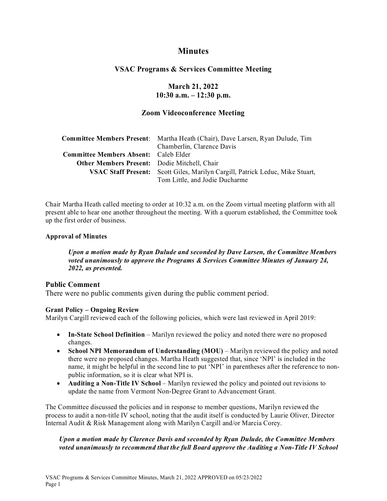# **Minutes**

# **VSAC Programs & Services Committee Meeting**

**March 21, 2022 10:30 a.m. – 12:30 p.m.** 

# **Zoom Videoconference Meeting**

|                                                     | <b>Committee Members Present:</b> Martha Heath (Chair), Dave Larsen, Ryan Dulude, Tim |
|-----------------------------------------------------|---------------------------------------------------------------------------------------|
|                                                     | Chamberlin, Clarence Davis                                                            |
| <b>Committee Members Absent:</b> Caleb Elder        |                                                                                       |
| <b>Other Members Present:</b> Dodie Mitchell, Chair |                                                                                       |
|                                                     | <b>VSAC Staff Present:</b> Scott Giles, Marilyn Cargill, Patrick Leduc, Mike Stuart,  |
|                                                     | Tom Little, and Jodie Ducharme                                                        |

Chair Martha Heath called meeting to order at 10:32 a.m. on the Zoom virtual meeting platform with all present able to hear one another throughout the meeting. With a quorum established, the Committee took up the first order of business.

#### **Approval of Minutes**

*Upon a motion made by Ryan Dulude and seconded by Dave Larsen, the Committee Members voted unanimously to approve the Programs & Services Committee Minutes of January 24, 2022, as presented.* 

#### **Public Comment**

There were no public comments given during the public comment period.

#### **Grant Policy – Ongoing Review**

Marilyn Cargill reviewed each of the following policies, which were last reviewed in April 2019:

- **In-State School Definition** Marilyn reviewed the policy and noted there were no proposed changes.
- **School NPI Memorandum of Understanding (MOU)** Marilyn reviewed the policy and noted there were no proposed changes. Martha Heath suggested that, since 'NPI' is included in the name, it might be helpful in the second line to put 'NPI' in parentheses after the reference to nonpublic information, so it is clear what NPI is.
- **Auditing a Non-Title IV School** Marilyn reviewed the policy and pointed out revisions to update the name from Vermont Non-Degree Grant to Advancement Grant.

The Committee discussed the policies and in response to member questions, Marilyn reviewed the process to audit a non-title IV school, noting that the audit itself is conducted by Laurie Oliver, Director Internal Audit & Risk Management along with Marilyn Cargill and/or Marcia Corey.

# *Upon a motion made by Clarence Davis and seconded by Ryan Dulude, the Committee Members voted unanimously to recommend that the full Board approve the Auditing a Non-Title IV School*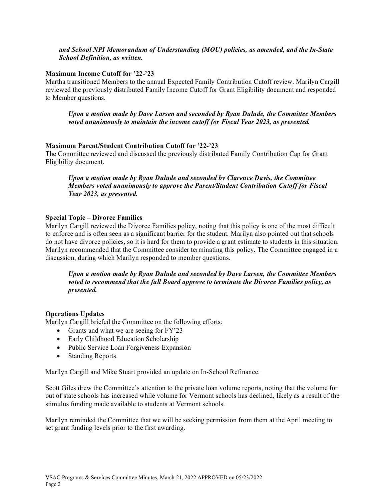#### *and School NPI Memorandum of Understanding (MOU) policies, as amended, and the In-State School Definition, as written.*

#### **Maximum Income Cutoff for '22-'23**

Martha transitioned Members to the annual Expected Family Contribution Cutoff review. Marilyn Cargill reviewed the previously distributed Family Income Cutoff for Grant Eligibility document and responded to Member questions.

*Upon a motion made by Dave Larsen and seconded by Ryan Dulude, the Committee Members voted unanimously to maintain the income cutoff for Fiscal Year 2023, as presented.* 

# **Maximum Parent/Student Contribution Cutoff for '22-'23**

The Committee reviewed and discussed the previously distributed Family Contribution Cap for Grant Eligibility document.

*Upon a motion made by Ryan Dulude and seconded by Clarence Davis, the Committee Members voted unanimously to approve the Parent/Student Contribution Cutoff for Fiscal Year 2023, as presented.*

# **Special Topic – Divorce Families**

Marilyn Cargill reviewed the Divorce Families policy, noting that this policy is one of the most difficult to enforce and is often seen as a significant barrier for the student. Marilyn also pointed out that schools do not have divorce policies, so it is hard for them to provide a grant estimate to students in this situation. Marilyn recommended that the Committee consider terminating this policy. The Committee engaged in a discussion, during which Marilyn responded to member questions.

#### *Upon a motion made by Ryan Dulude and seconded by Dave Larsen, the Committee Members voted to recommend that the full Board approve to terminate the Divorce Families policy, as presented.*

#### **Operations Updates**

Marilyn Cargill briefed the Committee on the following efforts:

- Grants and what we are seeing for FY'23
- Early Childhood Education Scholarship
- Public Service Loan Forgiveness Expansion
- Standing Reports

Marilyn Cargill and Mike Stuart provided an update on In-School Refinance.

Scott Giles drew the Committee's attention to the private loan volume reports, noting that the volume for out of state schools has increased while volume for Vermont schools has declined, likely as a result of the stimulus funding made available to students at Vermont schools.

Marilyn reminded the Committee that we will be seeking permission from them at the April meeting to set grant funding levels prior to the first awarding.